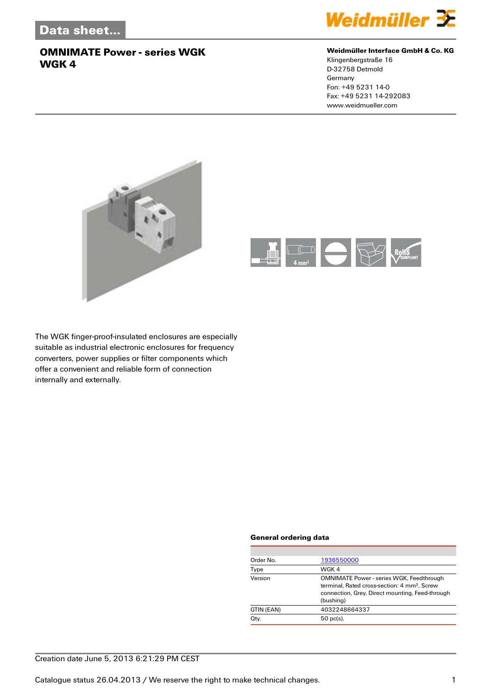

#### **Weidmüller Interface GmbH & Co. KG**

Klingenbergstraße 16 D-32758 Detmold Germany Fon: +49 5231 14-0 Fax: +49 5231 14-292083 www.weidmueller.com





The WGK finger-proof-insulated enclosures are especially suitable as industrial electronic enclosures for frequency converters, power supplies or filter components which offer a convenient and reliable form of connection internally and externally.

#### **General ordering data**

| Order No.  | 1936550000                                                                                                                                                                  |
|------------|-----------------------------------------------------------------------------------------------------------------------------------------------------------------------------|
| Type       | WGK 4                                                                                                                                                                       |
| Version    | <b>OMNIMATE Power - series WGK, Feedthrough</b><br>terminal. Rated cross-section: 4 mm <sup>2</sup> . Screw<br>connection, Grey, Direct mounting, Feed-through<br>(bushing) |
| GTIN (EAN) | 4032248664337                                                                                                                                                               |
| Qty.       | $50$ pc(s).                                                                                                                                                                 |
|            |                                                                                                                                                                             |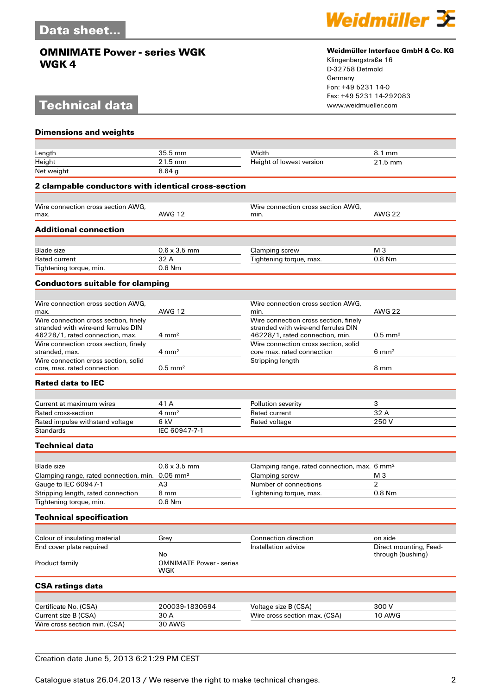# **Technical data**



#### **Weidmüller Interface GmbH & Co. KG**

Klingenbergstraße 16 D-32758 Detmold Germany Fon: +49 5231 14-0 Fax: +49 5231 14-292083

| <b>Dimensions and weights</b>                                                    |                                       |                                                                            |                        |
|----------------------------------------------------------------------------------|---------------------------------------|----------------------------------------------------------------------------|------------------------|
|                                                                                  |                                       |                                                                            |                        |
| Length                                                                           | 35.5 mm                               | Width                                                                      | 8.1 mm                 |
| Height                                                                           | 21.5 mm                               | Height of lowest version                                                   | 21.5 mm                |
| Net weight                                                                       | 8.64 <sub>g</sub>                     |                                                                            |                        |
| 2 clampable conductors with identical cross-section                              |                                       |                                                                            |                        |
| Wire connection cross section AWG.                                               |                                       | Wire connection cross section AWG,                                         |                        |
| max.                                                                             | <b>AWG 12</b>                         | min.                                                                       | <b>AWG 22</b>          |
| <b>Additional connection</b>                                                     |                                       |                                                                            |                        |
| <b>Blade size</b>                                                                | $0.6 \times 3.5$ mm                   | Clamping screw                                                             | M 3                    |
| <b>Rated current</b>                                                             | 32 A                                  | Tightening torque, max.                                                    | $0.8$ Nm               |
| Tightening torque, min.                                                          | $0.6$ Nm                              |                                                                            |                        |
| <b>Conductors suitable for clamping</b>                                          |                                       |                                                                            |                        |
|                                                                                  |                                       |                                                                            |                        |
| Wire connection cross section AWG,                                               |                                       | Wire connection cross section AWG,                                         |                        |
| max.<br>Wire connection cross section, finely                                    | <b>AWG 12</b>                         | min.<br>Wire connection cross section, finely                              | <b>AWG 22</b>          |
| stranded with wire-end ferrules DIN                                              |                                       | stranded with wire-end ferrules DIN                                        |                        |
| 46228/1, rated connection, max.                                                  | $4 \text{ mm}^2$                      | 46228/1, rated connection, min.                                            | $0.5$ mm <sup>2</sup>  |
| Wire connection cross section, finely<br>stranded, max.                          | $4 \text{ mm}^2$                      | Wire connection cross section, solid<br>core max. rated connection         | $6 \text{ mm}^2$       |
| Wire connection cross section, solid                                             |                                       | Stripping length                                                           |                        |
| core, max, rated connection                                                      | $0.5$ mm <sup>2</sup>                 |                                                                            | 8 mm                   |
| <b>Rated data to IEC</b>                                                         |                                       |                                                                            |                        |
|                                                                                  |                                       |                                                                            |                        |
| Current at maximum wires                                                         | 41 A                                  | Pollution severity                                                         | 3                      |
| Rated cross-section                                                              | $4 \, \text{mm}^2$                    | Rated current                                                              | 32 A                   |
| Rated impulse withstand voltage<br><b>Standards</b>                              | 6 kV<br>IEC 60947-7-1                 | Rated voltage                                                              | 250V                   |
|                                                                                  |                                       |                                                                            |                        |
| <b>Technical data</b>                                                            |                                       |                                                                            |                        |
|                                                                                  |                                       |                                                                            |                        |
| <b>Blade size</b><br>Clamping range, rated connection, min. 0.05 mm <sup>2</sup> | $0.6 \times 3.5$ mm                   | Clamping range, rated connection, max. 6 mm <sup>2</sup><br>Clamping screw | M <sub>3</sub>         |
| Gauge to IEC 60947-1                                                             | A3                                    | Number of connections                                                      | 2                      |
| Stripping length, rated connection                                               | 8 mm                                  | Tightening torque, max.                                                    | 0.8 Nm                 |
| Tightening torque, min.                                                          | 0.6 Nm                                |                                                                            |                        |
| <b>Technical specification</b>                                                   |                                       |                                                                            |                        |
|                                                                                  |                                       |                                                                            |                        |
| Colour of insulating material                                                    | Grey                                  | Connection direction                                                       | on side                |
| End cover plate required                                                         |                                       | Installation advice                                                        | Direct mounting, Feed- |
|                                                                                  | No                                    |                                                                            | through (bushing)      |
| Product family                                                                   | <b>OMNIMATE Power - series</b><br>WGK |                                                                            |                        |
| <b>CSA ratings data</b>                                                          |                                       |                                                                            |                        |
|                                                                                  |                                       |                                                                            | 300V                   |
| Certificate No. (CSA)<br>Current size B (CSA)                                    | 200039-1830694<br>30 A                | Voltage size B (CSA)<br>Wire cross section max. (CSA)                      | 10 AWG                 |
| Wire cross section min. (CSA)                                                    | 30 AWG                                |                                                                            |                        |
|                                                                                  |                                       |                                                                            |                        |

### Creation date June 5, 2013 6:21:29 PM CEST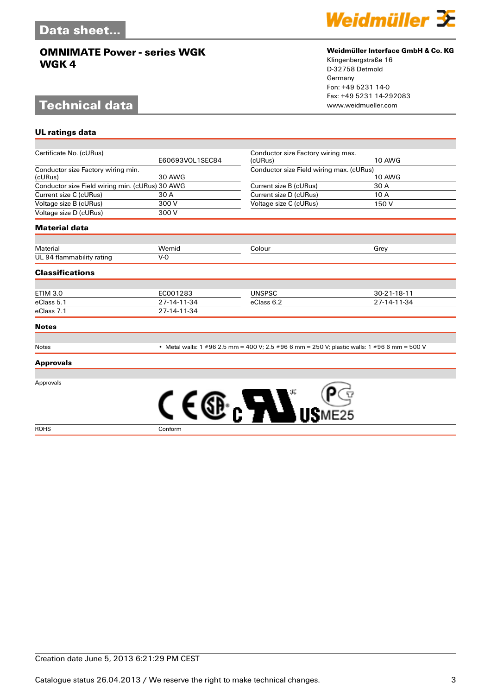# **Technical data**

**UL ratings data**



#### **Weidmüller Interface GmbH & Co. KG**

Klingenbergstraße 16 D-32758 Detmold Germany Fon: +49 5231 14-0 Fax: +49 5231 14-292083

| Certificate No. (cURus)                         | E60693VOL1SEC84 | Conductor size Factory wiring max.                                                           | <b>10 AWG</b> |
|-------------------------------------------------|-----------------|----------------------------------------------------------------------------------------------|---------------|
|                                                 |                 | (cURus)                                                                                      |               |
| Conductor size Factory wiring min.<br>(cURus)   | <b>30 AWG</b>   | Conductor size Field wiring max. (cURus)<br><b>10 AWG</b>                                    |               |
| Conductor size Field wiring min. (cURus) 30 AWG |                 | Current size B (cURus)                                                                       | 30 A          |
| Current size C (cURus)                          | 30 A            | Current size D (cURus)                                                                       | 10 A          |
| Voltage size B (cURus)                          | 300 V           | Voltage size C (cURus)                                                                       | 150 V         |
| Voltage size D (cURus)                          | 300 V           |                                                                                              |               |
| <b>Material data</b>                            |                 |                                                                                              |               |
| Material                                        | Wemid           | Colour                                                                                       | Grey          |
| UL 94 flammability rating                       | $V-0$           |                                                                                              |               |
| <b>Classifications</b>                          |                 |                                                                                              |               |
|                                                 |                 |                                                                                              |               |
| <b>ETIM 3.0</b>                                 | EC001283        | <b>UNSPSC</b>                                                                                | 30-21-18-11   |
| eClass 5.1                                      | 27-14-11-34     | eClass 6.2                                                                                   | 27-14-11-34   |
| eClass 7.1                                      | 27-14-11-34     |                                                                                              |               |
| <b>Notes</b>                                    |                 |                                                                                              |               |
| Notes                                           |                 | • Metal walls: 1 #96 2.5 mm = 400 V; 2.5 #96 6 mm = 250 V; plastic walls: 1 #96 6 mm = 500 V |               |
| <b>Approvals</b>                                |                 |                                                                                              |               |
| Approvals                                       |                 |                                                                                              |               |
|                                                 |                 | SB. <b>ATT</b>                                                                               |               |
| <b>ROHS</b>                                     | Conform         |                                                                                              |               |